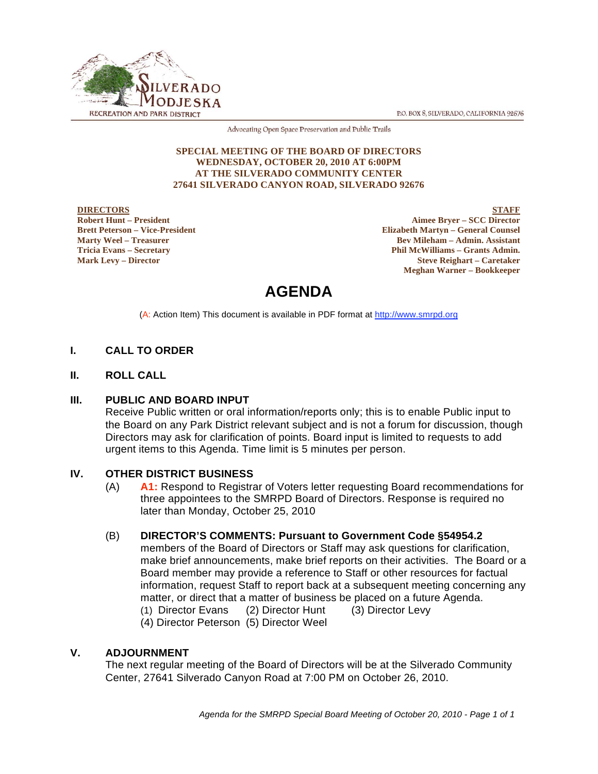P.O. BOX 8, SILVERADO, CALIFORNIA 92676



Advocating Open Space Preservation and Public Trails

#### **SPECIAL MEETING OF THE BOARD OF DIRECTORS WEDNESDAY, OCTOBER 20, 2010 AT 6:00PM AT THE SILVERADO COMMUNITY CENTER 27641 SILVERADO CANYON ROAD, SILVERADO 92676**

#### **DIRECTORS Robert Hunt – President Brett Peterson – Vice-President Marty Weel – Treasurer Tricia Evans – Secretary Mark Levy – Director**

**STAFF Aimee Bryer – SCC Director Elizabeth Martyn – General Counsel Bev Mileham – Admin. Assistant Phil McWilliams – Grants Admin. Steve Reighart – Caretaker Meghan Warner – Bookkeeper**

# **AGENDA**

(A: Action Item) This document is available in PDF format at http://www.smrpd.org

## **I. CALL TO ORDER**

**II. ROLL CALL**

### **III. PUBLIC AND BOARD INPUT**

Receive Public written or oral information/reports only; this is to enable Public input to the Board on any Park District relevant subject and is not a forum for discussion, though Directors may ask for clarification of points. Board input is limited to requests to add urgent items to this Agenda. Time limit is 5 minutes per person.

### **IV. OTHER DISTRICT BUSINESS**

(A) **A1:** Respond to Registrar of Voters letter requesting Board recommendations for three appointees to the SMRPD Board of Directors. Response is required no later than Monday, October 25, 2010

### (B) **DIRECTOR'S COMMENTS: Pursuant to Government Code §54954.2**

members of the Board of Directors or Staff may ask questions for clarification, make brief announcements, make brief reports on their activities. The Board or a Board member may provide a reference to Staff or other resources for factual information, request Staff to report back at a subsequent meeting concerning any matter, or direct that a matter of business be placed on a future Agenda. (1) Director Evans (2) Director Hunt (3) Director Levy

(4) Director Peterson (5) Director Weel

### **V. ADJOURNMENT**

The next regular meeting of the Board of Directors will be at the Silverado Community Center, 27641 Silverado Canyon Road at 7:00 PM on October 26, 2010.